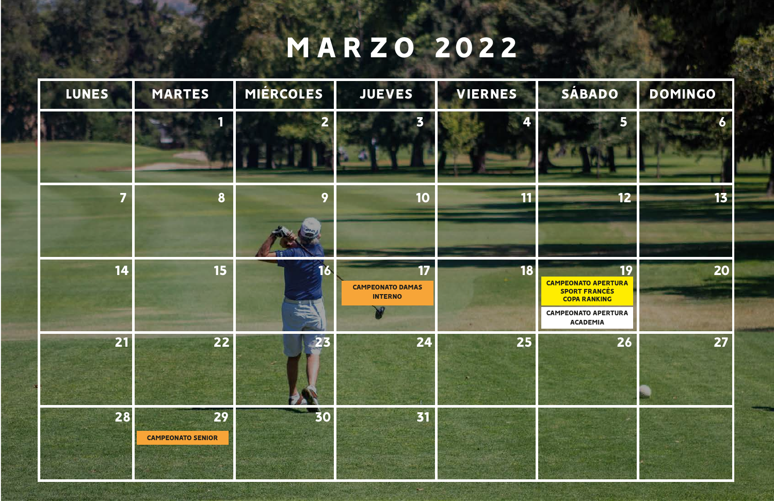## MARZO 2022

| <b>LUNES</b> | <b>MARTES</b>                  | MIÉRCOLES            | <b>JUEVES</b>                                   | <b>VIERNES</b> | SÁBADO                                                                                                                                  | DOMINGO |
|--------------|--------------------------------|----------------------|-------------------------------------------------|----------------|-----------------------------------------------------------------------------------------------------------------------------------------|---------|
|              |                                |                      |                                                 |                | 5                                                                                                                                       |         |
| 7            | 8                              | O                    | 10                                              | 11             | 12                                                                                                                                      | 13      |
| 14           | <b>15</b>                      | $\blacksquare$<br>16 | 17<br><b>CAMPEONATO DAMAS</b><br><b>INTERNO</b> | 18             | <b>19</b><br><b>CAMPEONATO APERTURA</b><br><b>SPORT FRANCÉS</b><br><b>COPA RANKING</b><br><b>CAMPEONATO APERTURA</b><br><b>ACADEMIA</b> | 20      |
| 21           | 22                             | 23                   | 24                                              | 25             | 26                                                                                                                                      | 27      |
| 28           | 29<br><b>CAMPEONATO SENIOR</b> | 30                   | 31                                              |                |                                                                                                                                         |         |

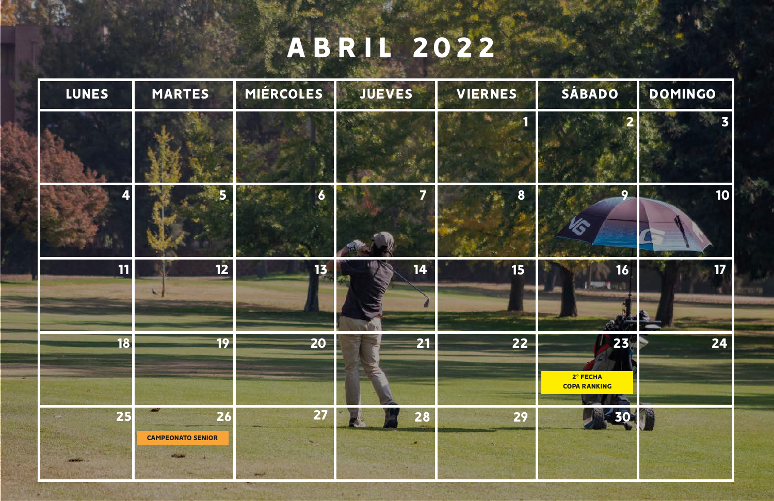| <b>LUNES</b> | <b>MARTES</b>                  | MIÉRCOLES               | JUEVES | <b>VIERNES</b> | SÁBADO                                |
|--------------|--------------------------------|-------------------------|--------|----------------|---------------------------------------|
|              |                                |                         |        |                |                                       |
| 4            |                                | $\overline{\mathbf{6}}$ | 7      | 8              | 9                                     |
| <b>11</b>    | $\overline{\mathbf{12}}$       | 13                      | 14     | 15             | 16                                    |
| 18           | 19                             | 20                      | 21     | 22             | 23<br>2° FECHA<br><b>COPA RANKING</b> |
| 25           | 26<br><b>CAMPEONATO SENIOR</b> | 27                      | 28     | 29             | 30                                    |

## ABRIL 2022

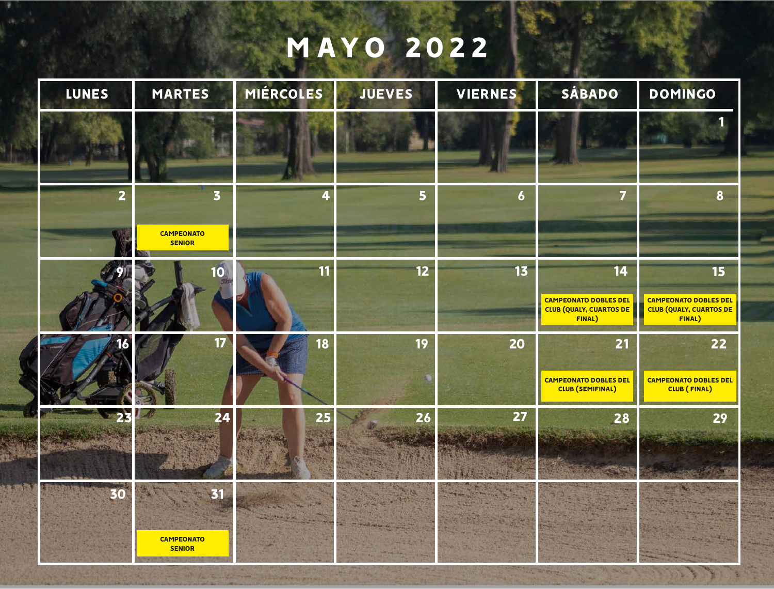## MAYO 2022

| <b>LUNES</b>   | <b>MARTES</b>                                                 | MIÉRCOLES | <b>JUEVES</b> | <b>VIERNES</b> | SÁBADO                                                                         |
|----------------|---------------------------------------------------------------|-----------|---------------|----------------|--------------------------------------------------------------------------------|
|                |                                                               |           |               |                |                                                                                |
| $\overline{2}$ | $\overline{\mathbf{3}}$<br><b>CAMPEONATO</b><br><b>SENIOR</b> | 4         | 5             | $\overline{6}$ | 7                                                                              |
|                | 10                                                            | 11        | 12            | 13             | 14<br><b>CAMPEONATO DOBLES DEI</b><br><b>CLUB (QUALY, CUARTOS DE</b><br>FINAL) |
|                | 17 <sup>2</sup>                                               | 18        | 19            | 20             | 21<br><b>CAMPEONATO DOBLES DEI</b><br>CLUB (SEMIFINAL)                         |
|                | 24<br>AND START                                               | 25        | 26            | 27             | 28                                                                             |
| 30             | <b>CAMPEONATO</b><br><b>SENIOR</b>                            |           |               |                |                                                                                |

And The as East Trees, a Construction